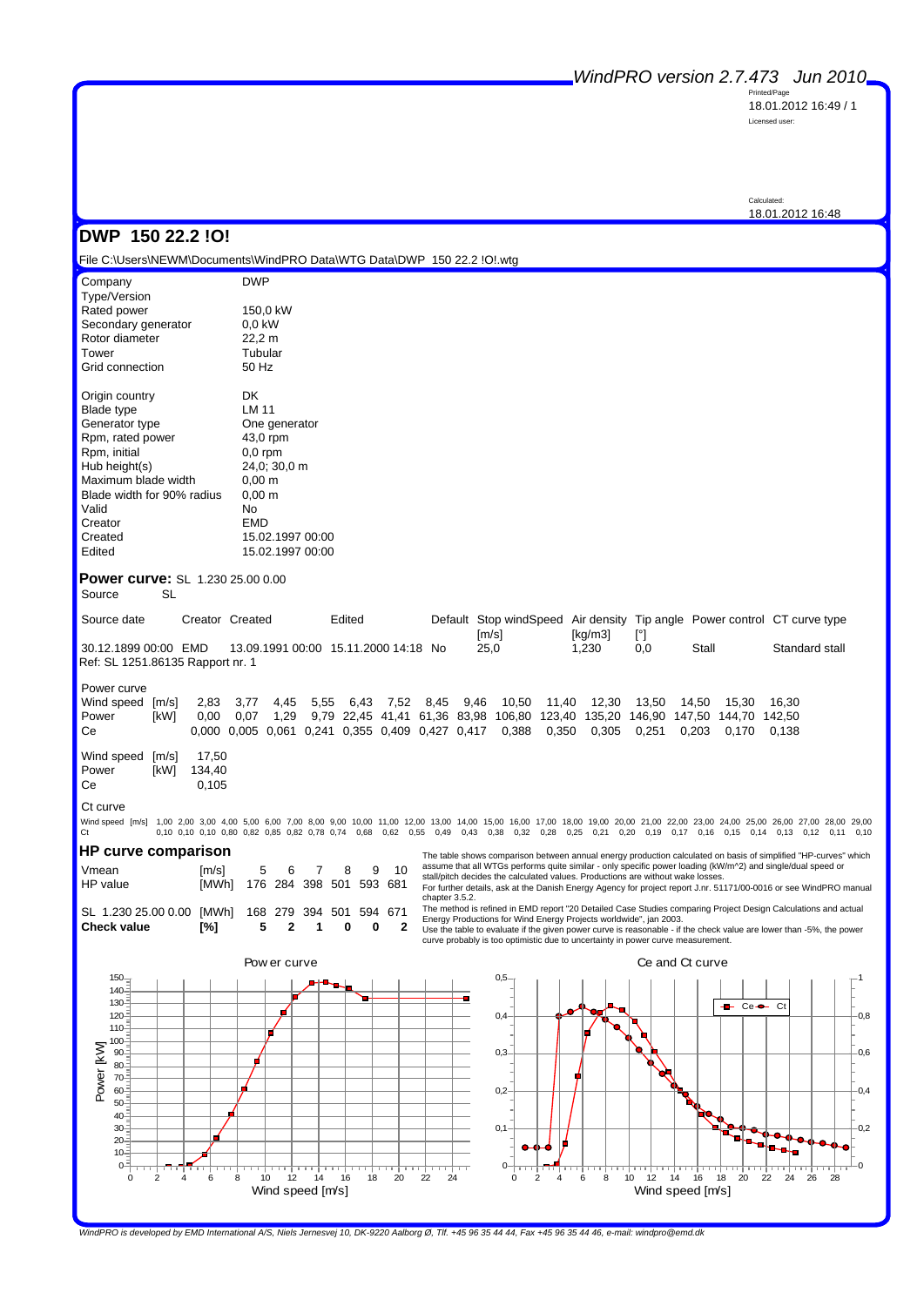*WindPRO version 2.7.473 Jun 2010*

Printed/Page 18.01.2012 16:49 / 1 Licensed user:

Calculated: 18.01.2012 16:48

 $-1$ 

 $-0.8$ 

0,6

 $-0.4$ 

 $-0,2$ 

ەك

#### **DWP 150 22.2 !O!**

File C:\Users\NEWM\Documents\WindPRO Data\WTG Data\DWP 150 22.2 !O!.wtg

| Company                     | <b>DWP</b>                           |
|-----------------------------|--------------------------------------|
| Type/Version<br>Rated power | 150,0 kW                             |
| Secondary generator         | 0.0 kW                               |
| Rotor diameter              | 22,2 m                               |
| Tower                       | Tubular                              |
| Grid connection             | 50 Hz                                |
| Origin country              | DK                                   |
| <b>Blade type</b>           | LM 11                                |
| Generator type              | One generator                        |
| Rpm, rated power            | 43,0 rpm                             |
| Rpm, initial                | $0.0$ rpm                            |
| Hub height(s)               | 24.0; 30,0 m                         |
| Maximum blade width         | $0,00 \; \text{m}$                   |
| Blade width for 90% radius  | $0,00 \; \text{m}$                   |
| Valid                       | No                                   |
| Creator                     | EMD                                  |
| Created<br>Edited           | 15.02.1997 00:00<br>15.02.1997 00:00 |
|                             |                                      |

**Power curve:** SL 1.230 25.00 0.00

Source SL

| Source date                      |  | Creator Created                      | Edited |  | Default Stop windSpeed Air density Tip angle Power control CT curve type |         |     |       |                |  |  |
|----------------------------------|--|--------------------------------------|--------|--|--------------------------------------------------------------------------|---------|-----|-------|----------------|--|--|
|                                  |  |                                      |        |  | [m/s]                                                                    | [ka/m3] |     |       |                |  |  |
| 30.12.1899 00:00 EMD             |  | 13.09.1991 00:00 15.11.2000 14:18 No |        |  | 25.0                                                                     | 1.230   | 0.0 | Stall | Standard stall |  |  |
| Ref: SL 1251.86135 Rapport nr. 1 |  |                                      |        |  |                                                                          |         |     |       |                |  |  |

Power curve

| Wind speed [m/s] 2,83 3,77 4,45 5,55 6,43 7,52 8,45 9,46 10,50 11,40 12,30 13,50 14,50 15,30 16,30 |      |  |  |  |  |  |  |                                                                                              |  |
|----------------------------------------------------------------------------------------------------|------|--|--|--|--|--|--|----------------------------------------------------------------------------------------------|--|
| Power                                                                                              | [kW] |  |  |  |  |  |  | 0.00 0.07 1.29 9.79 22.45 41.41 61.36 83.98 106.80 123.40 135.20 146.90 147.50 144.70 142.50 |  |
| Ce                                                                                                 |      |  |  |  |  |  |  | 0.000 0.005 0.061 0.241 0.355 0.409 0.427 0.417 0.388 0.350 0.305 0.251 0.203 0.170 0.138    |  |
| Wind speed [m/s] 17,50                                                                             |      |  |  |  |  |  |  |                                                                                              |  |

Power [kW] 134,40<br>Ce 0.105 0.105

#### Ct curve

Wind speed [m/s] 1,00 2,00 3,00 4,00 5,00 6,00 7,00 8,00 9,00 10,00 11,00 12,00 13,00 14,00 15,00 16,00 17,00 18,00 19,00 20,00 21,00 22,00 23,00 24,00 25,00 26,00 27,00 28,00 29,00 Ct 0,10 0,10 0,10 0,80 0,82 0,85 0,82 0,78 0,74 0,68 0,62 0,55 0,49 0,43 0,38 0,32 0,28 0,25 0,21 0,20 0,19 0,17 0,16 0,15 0,14 0,13 0,12 0,11 0,10

**HP curve comparison**

| Check value                                       | Г%1 —                         | 5 2 1 | 0 |  |
|---------------------------------------------------|-------------------------------|-------|---|--|
| SL 1.230 25.00 0.00 [MWh] 168 279 394 501 594 671 |                               |       |   |  |
| HP value                                          | [MWh] 176 284 398 501 593 681 |       |   |  |
| Vmean                                             | $\text{Im/s1}$ 5 6 7 8 9 10   |       |   |  |

The table shows comparison between annual energy production calculated on basis of simplified "HP-curves" which<br>assume that all WTGs performs quite similar - only specific power loading (kW/m^2) and single/dual speed or<br>st

For further details, ask at the Danish Energy Agency for project report J.nr. 51171/00-0016 or see WindPRO manual chapter 3.5.2.

The method is refined in EMD report "20 Detailed Case Studies comparing Project Design Calculations and actua<br>Energy Productions for Wind Energy Projects worldwide", jan 2003.

Use the table to evaluate if the given power curve is reasonable - if the check value are lower than -5%, the power curve probably is too optimistic due to uncertainty in power curve measurement.



*WindPRO is developed by EMD International A/S, Niels Jernesvej 10, DK-9220 Aalborg Ø, Tlf. +45 96 35 44 44, Fax +45 96 35 44 46, e-mail: windpro@emd.dk*